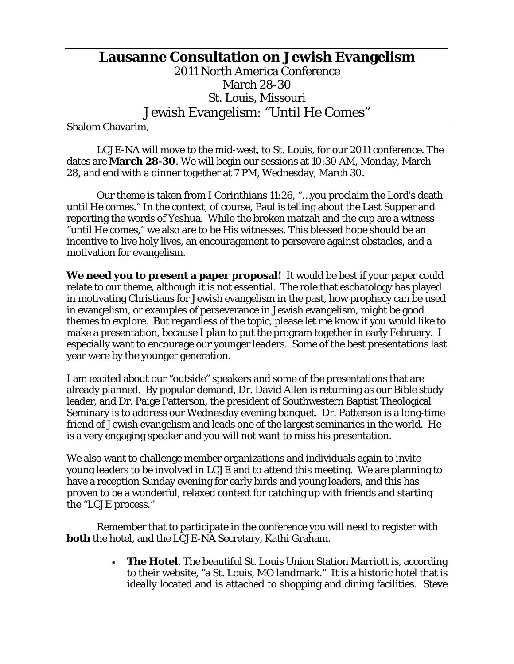## **Lausanne Consultation on Jewish Evangelism**  2011 North America Conference March 28-30 St. Louis, Missouri Jewish Evangelism: "Until He Comes"

Shalom Chavarim,

 LCJE-NA will move to the mid-west, to St. Louis, for our 2011 conference. The dates are **March 28-30**. We will begin our sessions at 10:30 AM, Monday, March 28, and end with a dinner together at 7 PM, Wednesday, March 30.

 Our theme is taken from I Corinthians 11:26, "…you proclaim the Lord's death until He comes." In the context, of course, Paul is telling about the Last Supper and reporting the words of Yeshua. While the broken matzah and the cup are a witness "until He comes," we also are to be His witnesses. This blessed hope should be an incentive to live holy lives, an encouragement to persevere against obstacles, and a motivation for evangelism.

**We need you to present a paper proposal!** It would be best if your paper could relate to our theme, although it is not essential. The role that eschatology has played in motivating Christians for Jewish evangelism in the past, how prophecy can be used in evangelism, or examples of perseverance in Jewish evangelism, might be good themes to explore. But regardless of the topic, please let me know if you would like to make a presentation, because I plan to put the program together in early February. I especially want to encourage our younger leaders. Some of the best presentations last year were by the younger generation.

I am excited about our "outside" speakers and some of the presentations that are already planned. By popular demand, Dr. David Allen is returning as our Bible study leader, and Dr. Paige Patterson, the president of Southwestern Baptist Theological Seminary is to address our Wednesday evening banquet. Dr. Patterson is a long-time friend of Jewish evangelism and leads one of the largest seminaries in the world. He is a very engaging speaker and you will not want to miss his presentation.

We also want to challenge member organizations and individuals again to invite young leaders to be involved in LCJE and to attend this meeting. We are planning to have a reception Sunday evening for early birds and young leaders, and this has proven to be a wonderful, relaxed context for catching up with friends and starting the "LCJE process."

 Remember that to participate in the conference you will need to register with **both** the hotel, and the LCJE-NA Secretary, Kathi Graham.

> • **The Hotel**. The beautiful St. Louis Union Station Marriott is, according to their website, "a St. Louis, MO landmark." It is a historic hotel that is ideally located and is attached to shopping and dining facilities. Steve